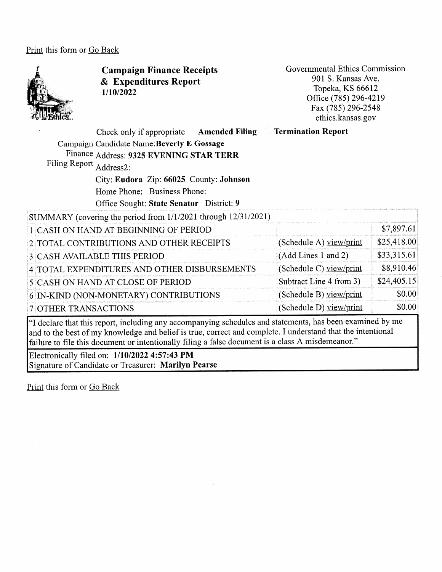Print this form or Go Back



Campaign Finance Receipts & Expenditures Report 1/10/2022

Governmental Ethics Commission 901 S. Kansas Ave. Topeka, KS 66612 Office (785) 296-4219 Fax (785) 296-2548 ethics.kansas.gov

Check only if appropriate Amended Filing Campaign Candidate Name:Beverly E Gossage Finance Address: 9325 EVENING STAR TERR Filing Report Address2: City: Eudora Zip: 66025 County: Johnson Home Phone: Business Phone: Office Sought: State Senator District: 9 SUMMARY (covering the period from 1/1/2021 through 12/31/2021) 1 CASH ON HAND AT BEGINNING OF PERIOD 2 TOTAL CONTRIBUTIONS AND OTHER RECEIPTS 3 CASH AVAILABLE THIS PERIOD 4 TOTAL EXPENDITURES AND OTHER DISBURSEMENTS 5 CASH ON HAND AT CLOSE OF PERIOD 6 IN-KIND (NON-MONETARY) CONTRIBUTIONS 7 OTHER TRANSACTIONS Termination Report (Schedule A) view/print (Add Lines 1 and 2) (Schedule C) view/print Subtract Line 4 from 3)  $(Schedule B) view/print$ (Schedule D) view/print \$7,897.61; \$25,418.001 \$33,315.61 \$8,910.461 \$24,405.151 \$0.001 \$0.00| <sup>4</sup> declare that this report, including any accompanying schedules and statements, has been examined by me

and to the best of my knowledge and belief is tme, correct and complete. I understand that the intentional failure to file this document or intentionally filing a false document is a class A misdemeanor."

Electronically filed on: 1/10/2022 4:57:43 PM Signature of Candidate or Treasurer: Marilyn Pearse

Print this form or Go Back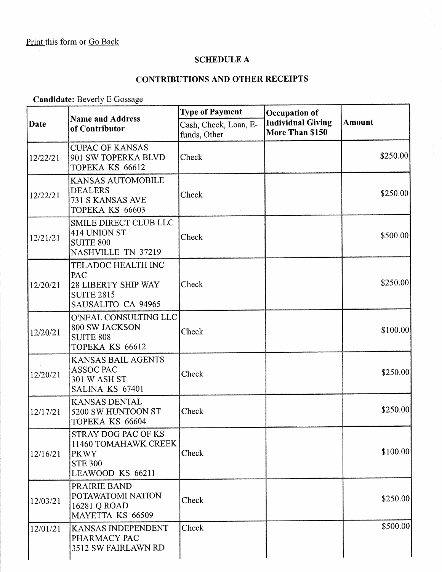$\bar{z}$ 

#### SCHEDULE A

### CONTRIBUTIONS AND OTHER RECEIPTS

Candidate: Beverly E Gossage

| Date     | <b>Name and Address</b><br>of Contributor                                                          | <b>Type of Payment</b>                | Occupation of                               |               |
|----------|----------------------------------------------------------------------------------------------------|---------------------------------------|---------------------------------------------|---------------|
|          |                                                                                                    | Cash, Check, Loan, E-<br>funds, Other | <b>Individual Giving</b><br>More Than \$150 | <b>Amount</b> |
| 12/22/21 | <b>CUPAC OF KANSAS</b><br>901 SW TOPERKA BLVD<br>TOPEKA KS 66612                                   | Check                                 |                                             | \$250.00]     |
| 12/22/21 | KANSAS AUTOMOBILE<br><b>DEALERS</b><br>731 S KANSAS AVE<br>TOPEKA KS 66603                         | Check                                 |                                             | \$250.00]     |
| 12/21/21 | SMILE DIRECT CLUB LLC<br>414 UNION ST<br><b>SUITE 800</b><br>NASHVILLE TN 37219                    | Check                                 |                                             | \$500.00]     |
| 12/20/21 | TELADOC HEALTH INC<br>PAC<br><b>28 LIBERTY SHIP WAY</b><br><b>SUITE 2815</b><br>SAUSALITO CA 94965 | Check                                 |                                             | \$250.00      |
| 12/20/21 | O'NEAL CONSULTING LLC<br>800 SW JACKSON<br><b>SUITE 808</b><br>TOPEKA KS 66612                     | Check                                 |                                             | \$100.00      |
| 12/20/21 | <b>KANSAS BAIL AGENTS</b><br><b>ASSOC PAC</b><br>301 W ASH ST<br>SALINA KS 67401                   | Check                                 |                                             | \$250.00      |
| 12/17/21 | <b>KANSAS DENTAL</b><br>5200 SW HUNTOON ST<br>TOPEKA KS 66604                                      | Check                                 |                                             | \$250.00      |
| 12/16/21 | STRAY DOG PAC OF KS<br>11460 TOMAHAWK CREEK<br><b>PKWY</b><br><b>STE 300</b><br>LEAWOOD KS 66211   | Check                                 |                                             | \$100.00      |
| 12/03/21 | PRAIRIE BAND<br>POTAWATOMI NATION<br>16281 Q ROAD<br>MAYETTA KS 66509                              | Check                                 |                                             | \$250.00      |
| 12/01/21 | KANSAS INDEPENDENT<br>PHARMACY PAC<br>3512 SW FAIRLAWN RD                                          | Check                                 |                                             | \$500.00      |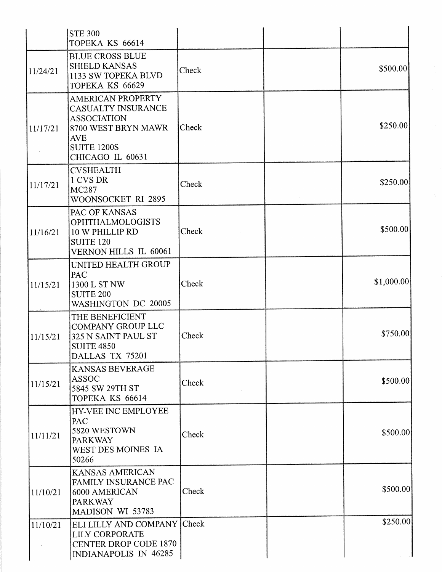|          | <b>STE 300</b><br>TOPEKA KS 66614                                                                                                                          |       |            |
|----------|------------------------------------------------------------------------------------------------------------------------------------------------------------|-------|------------|
| 11/24/21 | <b>BLUE CROSS BLUE</b><br><b>SHIELD KANSAS</b><br>1133 SW TOPEKA BLVD<br>TOPEKA KS 66629                                                                   | Check | \$500.00   |
| 11/17/21 | <b>AMERICAN PROPERTY</b><br><b>CASUALTY INSURANCE</b><br><b>ASSOCIATION</b><br>8700 WEST BRYN MAWR<br><b>AVE</b><br><b>SUITE 1200S</b><br>CHICAGO IL 60631 | Check | \$250.00   |
| 11/17/21 | <b>CVSHEALTH</b><br>1 CVS DR<br>MC287<br>WOONSOCKET RI 2895                                                                                                | Check | \$250.00   |
| 11/16/21 | PAC OF KANSAS<br><b>OPHTHALMOLOGISTS</b><br>10 W PHILLIP RD<br><b>SUITE 120</b><br>VERNON HILLS IL 60061                                                   | Check | \$500.00   |
| 11/15/21 | UNITED HEALTH GROUP<br>PAC<br>1300 L ST NW<br><b>SUITE 200</b><br>WASHINGTON DC 20005                                                                      | Check | \$1,000.00 |
| 11/15/21 | THE BENEFICIENT<br><b>COMPANY GROUP LLC</b><br>325 N SAINT PAUL ST<br><b>SUITE 4850</b><br>DALLAS TX 75201                                                 | Check | \$750.00   |
| 11/15/21 | KANSAS BEVERAGE<br><b>ASSOC</b><br>5845 SW 29TH ST<br>TOPEKA KS 66614                                                                                      | Check | \$500.00]  |
| 11/11/21 | <b>HY-VEE INC EMPLOYEE</b><br>PAC<br>5820 WESTOWN<br><b>PARKWAY</b><br>WEST DES MOINES IA<br>50266                                                         | Check | \$500.00   |
| 11/10/21 | KANSAS AMERICAN<br>FAMILY INSURANCE PAC<br>6000 AMERICAN<br><b>PARKWAY</b><br>MADISON WI 53783                                                             | Check | \$500.00]  |
| 11/10/21 | ELI LILLY AND COMPANY Check<br><b>LILY CORPORATE</b><br><b>CENTER DROP CODE 1870</b><br>INDIANAPOLIS IN 46285                                              |       | \$250.00   |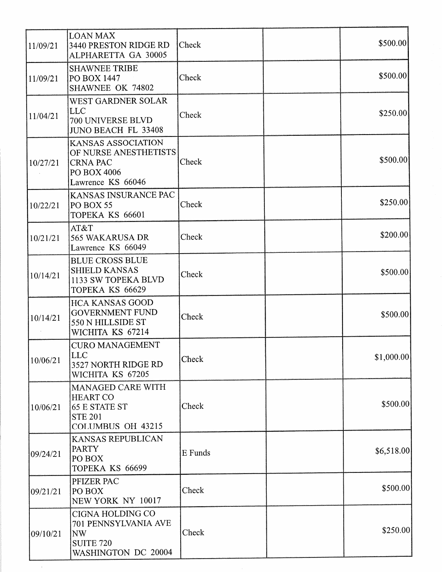| 11/09/21 | <b>LOAN MAX</b><br>3440 PRESTON RIDGE RD<br>ALPHARETTA GA 30005                                     | Check   | \$500.00    |
|----------|-----------------------------------------------------------------------------------------------------|---------|-------------|
| 11/09/21 | <b>SHAWNEE TRIBE</b><br>PO BOX 1447<br>SHAWNEE OK 74802                                             | Check   | \$500.00    |
| 11/04/21 | WEST GARDNER SOLAR<br><b>LLC</b><br>700 UNIVERSE BLVD<br><b>JUNO BEACH FL 33408</b>                 | Check   | \$250.00    |
| 10/27/21 | KANSAS ASSOCIATION<br>OF NURSE ANESTHETISTS<br><b>CRNA PAC</b><br>PO BOX 4006<br>Lawrence KS 66046  | Check   | \$500.00    |
| 10/22/21 | KANSAS INSURANCE PAC<br>PO BOX 55<br>TOPEKA KS 66601                                                | Check   | \$250.00]   |
| 10/21/21 | AT&T<br>565 WAKARUSA DR<br>Lawrence KS 66049                                                        | Check   | \$200.00    |
| 10/14/21 | <b>BLUE CROSS BLUE</b><br><b>SHIELD KANSAS</b><br>1133 SW TOPEKA BLVD<br>TOPEKA KS 66629            | Check   | \$500.00    |
| 10/14/21 | <b>HCA KANSAS GOOD</b><br><b>GOVERNMENT FUND</b><br>550 N HILLSIDE ST<br>WICHITA KS 67214           | Check   | \$500.00    |
| 10/06/21 | <b>CURO MANAGEMENT</b><br><b>LLC</b><br>3527 NORTH RIDGE RD<br>WICHITA KS 67205                     | Check   | \$1,000.00] |
| 10/06/21 | MANAGED CARE WITH<br><b>HEART CO</b><br><b>65 E STATE ST</b><br><b>STE 201</b><br>COLUMBUS OH 43215 | Check   | \$500.00    |
| 09/24/21 | KANSAS REPUBLICAN<br><b>PARTY</b><br>PO BOX<br>TOPEKA KS 66699                                      | E Funds | \$6,518.00  |
| 09/21/21 | PFIZER PAC<br>PO BOX<br>NEW YORK NY 10017                                                           | Check   | \$500.00    |
| 09/10/21 | CIGNA HOLDING CO<br>701 PENNSYLVANIA AVE<br><b>NW</b><br><b>SUITE 720</b><br>WASHINGTON DC 20004    | Check   | \$250.00    |

 $\sim$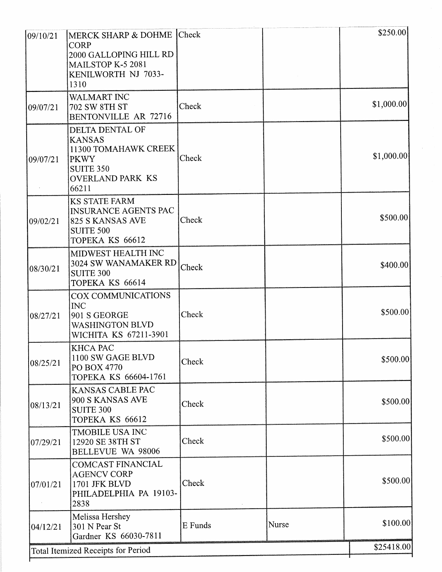| 09/10/21 | MERCK SHARP & DOHME Check                                                                                                              |         |       | \$250.00   |
|----------|----------------------------------------------------------------------------------------------------------------------------------------|---------|-------|------------|
|          | <b>CORP</b><br>2000 GALLOPING HILL RD<br>MAILSTOP K-5 2081<br>KENILWORTH NJ 7033-<br>1310                                              |         |       |            |
| 09/07/21 | WALMART INC<br><b>702 SW 8TH ST</b><br>BENTONVILLE AR 72716                                                                            | Check   |       | \$1,000.00 |
| 09/07/21 | <b>DELTA DENTAL OF</b><br><b>KANSAS</b><br>11300 TOMAHAWK CREEK<br><b>PKWY</b><br><b>SUITE 350</b><br><b>OVERLAND PARK KS</b><br>66211 | Check   |       | \$1,000.00 |
| 09/02/21 | <b>KS STATE FARM</b><br><b>INSURANCE AGENTS PAC</b><br>825 S KANSAS AVE<br><b>SUITE 500</b><br>TOPEKA KS 66612                         | Check   |       | \$500.00   |
| 08/30/21 | MIDWEST HEALTH INC<br>3024 SW WANAMAKER RD<br><b>SUITE 300</b><br>TOPEKA KS 66614                                                      | Check   |       | \$400.00   |
| 08/27/21 | COX COMMUNICATIONS<br><b>INC</b><br>901 S GEORGE<br><b>WASHINGTON BLVD</b><br>WICHITA KS 67211-3901                                    | Check   |       | \$500.00   |
| 08/25/21 | KHCA PAC<br>1100 SW GAGE BLVD<br>PO BOX 4770<br>TOPEKA KS 66604-1761                                                                   | Check   |       | \$500.00]  |
| 08/13/21 | KANSAS CABLE PAC<br>900 S KANSAS AVE<br><b>SUITE 300</b><br>TOPEKA KS 66612                                                            | Check   |       | \$500.00]  |
| 07/29/21 | <b>TMOBILE USA INC</b><br>12920 SE 38TH ST<br><b>BELLEVUE WA 98006</b>                                                                 | Check   |       | \$500.00   |
| 07/01/21 | <b>COMCAST FINANCIAL</b><br><b>AGENCV CORP</b><br>1701 JFK BLVD<br>PHILADELPHIA PA 19103-<br>2838                                      | Check   |       | \$500.00   |
| 04/12/21 | Melissa Hershey<br>301 N Pear St<br>Gardner KS 66030-7811                                                                              | E Funds | Nurse | \$100.00   |
|          | <b>Total Itemized Receipts for Period</b>                                                                                              |         |       | \$25418.00 |

 $\hat{\mathcal{F}}$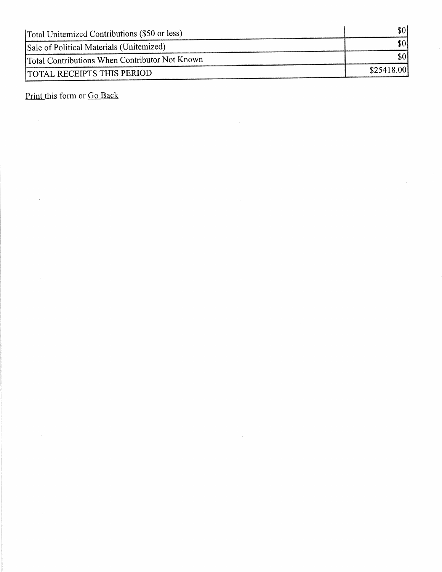| Total Unitemized Contributions (\$50 or less)  | \$0        |
|------------------------------------------------|------------|
| Sale of Political Materials (Unitemized)       |            |
| Total Contributions When Contributor Not Known |            |
| <b>ITOTAL RECEIPTS THIS PERIOD</b>             | \$25418.00 |

Print this form or Go Back

 $\mathcal{L}^{\text{max}}_{\text{max}}$ 

 $\hat{\mathcal{A}}$ 

 $\hat{\mathcal{A}}$ 

 $\bar{\alpha}$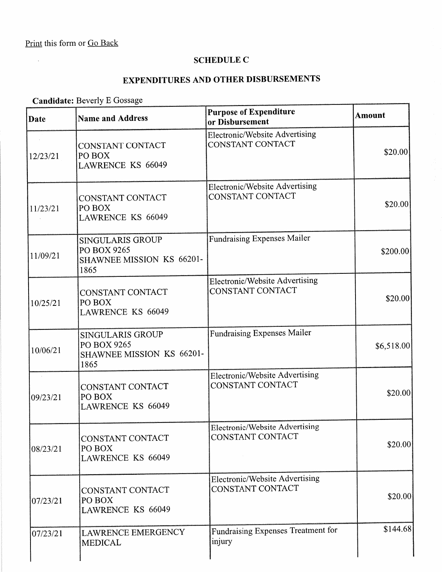$\hat{\mathcal{A}}$ 

#### SCHEDULE C

## EXPENDITURES AND OTHER DISBURSEMENTS

# Candidate: Beverly E Gossage

| <b>Date</b>        | <b>Name and Address</b>                                                     | <b>Purpose of Expenditure</b><br>or Disbursement          | <b>Amount</b> |
|--------------------|-----------------------------------------------------------------------------|-----------------------------------------------------------|---------------|
| 12/23/21           | CONSTANT CONTACT<br>PO BOX<br><b>LAWRENCE KS 66049</b>                      | Electronic/Website Advertising<br>CONSTANT CONTACT        | \$20.00       |
| 11/23/21           | CONSTANT CONTACT<br>PO BOX<br>LAWRENCE KS 66049                             | Electronic/Website Advertising<br>CONSTANT CONTACT        | \$20.00       |
| 11/09/21           | <b>SINGULARIS GROUP</b><br>PO BOX 9265<br>SHAWNEE MISSION KS 66201-<br>1865 | <b>Fundraising Expenses Mailer</b>                        | \$200.00      |
| 10/25/21           | CONSTANT CONTACT<br>PO BOX<br><b>LAWRENCE KS 66049</b>                      | Electronic/Website Advertising<br>CONSTANT CONTACT        | \$20.00]      |
| 10/06/21           | SINGULARIS GROUP<br>PO BOX 9265<br>SHAWNEE MISSION KS 66201-<br>1865        | <b>Fundraising Expenses Mailer</b>                        | \$6,518.00    |
| $\sim$<br>09/23/21 | CONSTANT CONTACT<br>PO BOX<br><b>LAWRENCE KS 66049</b>                      | <b>Electronic/Website Advertising</b><br>CONSTANT CONTACT | \$20.00]      |
| 08/23/21           | CONSTANT CONTACT<br>PO BOX<br>LAWRENCE KS 66049                             | <b>Electronic/Website Advertising</b><br>CONSTANT CONTACT | \$20.00       |
| 07/23/21           | CONSTANT CONTACT<br>PO BOX<br><b>LAWRENCE KS 66049</b>                      | <b>Electronic/Website Advertising</b><br>CONSTANT CONTACT | \$20.00       |
| 07/23/21           | <b>LAWRENCE EMERGENCY</b><br><b>MEDICAL</b>                                 | Fundraising Expenses Treatment for<br>injury              | \$144.68      |